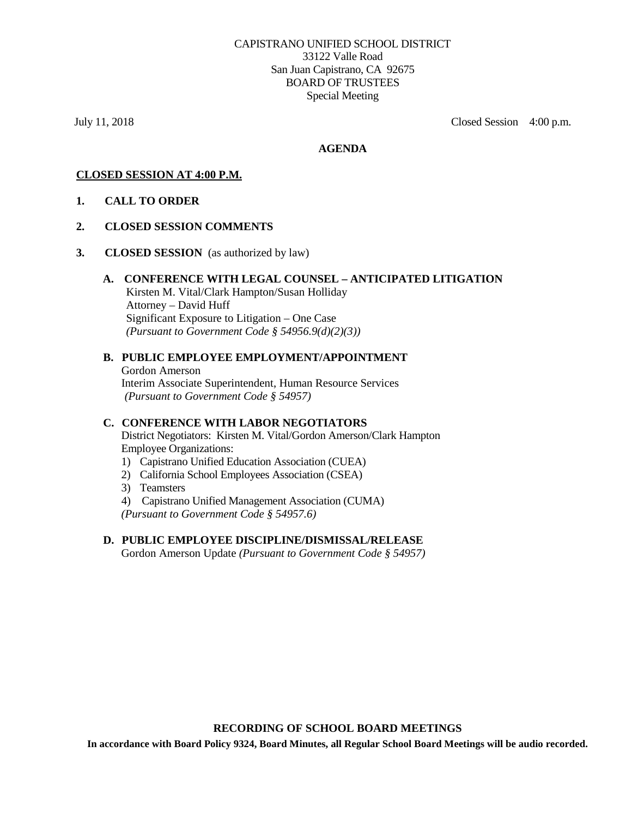July 11, 2018 Closed Session4:00 p.m.

#### **AGENDA**

## **CLOSED SESSION AT 4:00 P.M.**

**1. CALL TO ORDER** 

#### **2. CLOSED SESSION COMMENTS**

**3. CLOSED SESSION** (as authorized by law)

#### **A. CONFERENCE WITH LEGAL COUNSEL – ANTICIPATED LITIGATION** Kirsten M. Vital/Clark Hampton/Susan Holliday Attorney – David Huff Significant Exposure to Litigation – One Case *(Pursuant to Government Code § 54956.9(d)(2)(3))*

# **B. PUBLIC EMPLOYEE EMPLOYMENT/APPOINTMENT** Gordon Amerson

Interim Associate Superintendent, Human Resource Services *(Pursuant to Government Code § 54957)*

# **C. CONFERENCE WITH LABOR NEGOTIATORS**

District Negotiators: Kirsten M. Vital/Gordon Amerson/Clark Hampton Employee Organizations:

- 1) Capistrano Unified Education Association (CUEA)
- 2) California School Employees Association (CSEA)
- 3) Teamsters
- 4) Capistrano Unified Management Association (CUMA)

*(Pursuant to Government Code § 54957.6)*

#### **D. PUBLIC EMPLOYEE DISCIPLINE/DISMISSAL/RELEASE**

Gordon Amerson Update *(Pursuant to Government Code § 54957)*

#### **RECORDING OF SCHOOL BOARD MEETINGS**

**In accordance with Board Policy 9324, Board Minutes, all Regular School Board Meetings will be audio recorded.**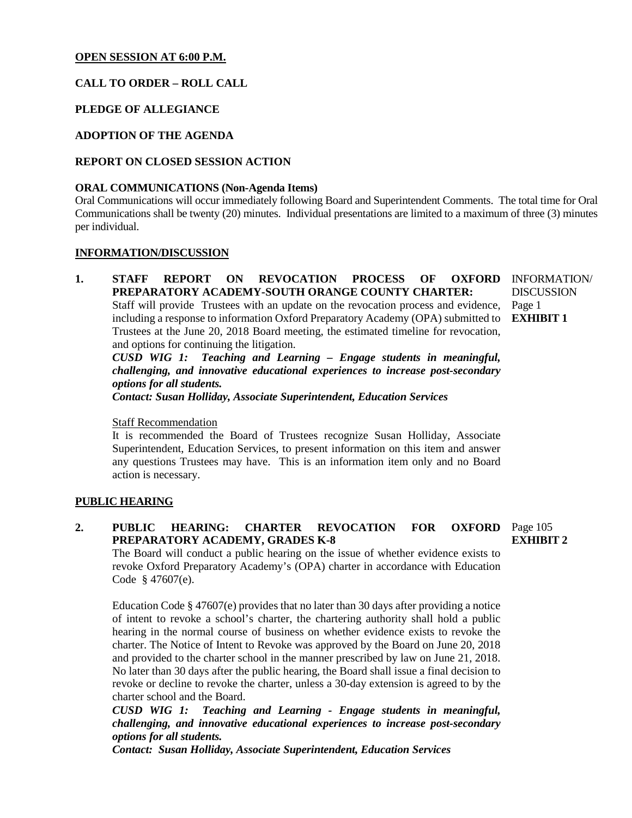#### **OPEN SESSION AT 6:00 P.M.**

# **CALL TO ORDER – ROLL CALL**

## **PLEDGE OF ALLEGIANCE**

# **ADOPTION OF THE AGENDA**

## **REPORT ON CLOSED SESSION ACTION**

#### **ORAL COMMUNICATIONS (Non-Agenda Items)**

Oral Communications will occur immediately following Board and Superintendent Comments. The total time for Oral Communications shall be twenty (20) minutes. Individual presentations are limited to a maximum of three (3) minutes per individual.

#### **INFORMATION/DISCUSSION**

1. **STAFF REPORT ON REVOCATION PROCESS OF PREPARATORY ACADEMY-SOUTH ORANGE COUNTY CHARTER:** Staff will provide Trustees with an update on the revocation process and evidence, including a response to information Oxford Preparatory Academy (OPA) submitted to **EXHIBIT 1** Trustees at the June 20, 2018 Board meeting, the estimated timeline for revocation, and options for continuing the litigation. OXFORD INFORMATION/ Page 1

*CUSD WIG 1: Teaching and Learning – Engage students in meaningful, challenging, and innovative educational experiences to increase post-secondary options for all students.*

*Contact: Susan Holliday, Associate Superintendent, Education Services*

#### Staff Recommendation

It is recommended the Board of Trustees recognize Susan Holliday, Associate Superintendent, Education Services, to present information on this item and answer any questions Trustees may have. This is an information item only and no Board action is necessary.

#### **PUBLIC HEARING**

2. PUBLIC HEARING: CHARTER REVOCATION FOR **PREPARATORY ACADEMY, GRADES K-8 OXFORD** Page 105 **EXHIBIT 2**

The Board will conduct a public hearing on the issue of whether evidence exists to revoke Oxford Preparatory Academy's (OPA) charter in accordance with Education Code § 47607(e).

Education Code § 47607(e) provides that no later than 30 days after providing a notice of intent to revoke a school's charter, the chartering authority shall hold a public hearing in the normal course of business on whether evidence exists to revoke the charter. The Notice of Intent to Revoke was approved by the Board on June 20, 2018 and provided to the charter school in the manner prescribed by law on June 21, 2018. No later than 30 days after the public hearing, the Board shall issue a final decision to revoke or decline to revoke the charter, unless a 30-day extension is agreed to by the charter school and the Board.

*CUSD WIG 1: Teaching and Learning - Engage students in meaningful, challenging, and innovative educational experiences to increase post-secondary options for all students.*

*Contact: Susan Holliday, Associate Superintendent, Education Services*

**DISCUSSION**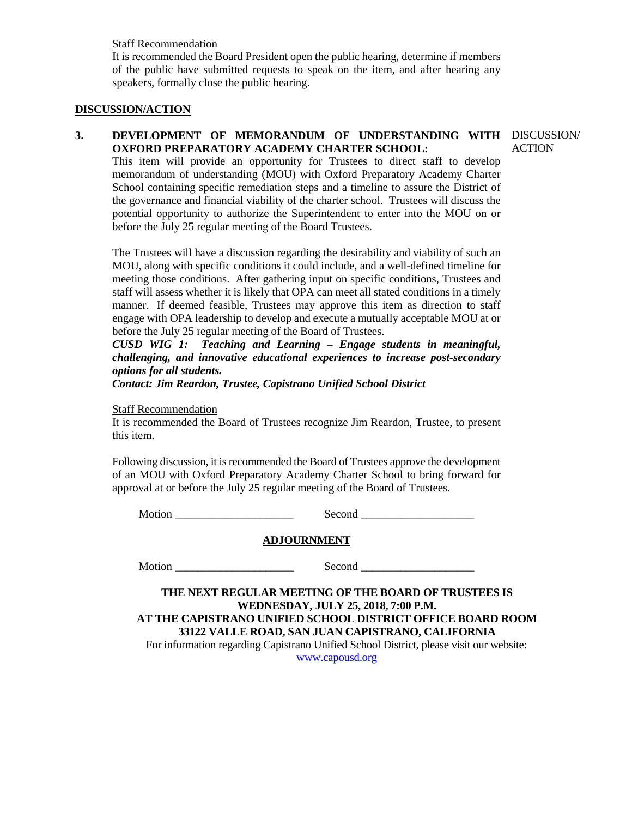#### Staff Recommendation

It is recommended the Board President open the public hearing, determine if members of the public have submitted requests to speak on the item, and after hearing any speakers, formally close the public hearing.

#### **DISCUSSION/ACTION**

#### **3. DEVELOPMENT OF MEMORANDUM OF UNDERSTANDING WITH**  DISCUSSION/ **OXFORD PREPARATORY ACADEMY CHARTER SCHOOL:**

This item will provide an opportunity for Trustees to direct staff to develop memorandum of understanding (MOU) with Oxford Preparatory Academy Charter School containing specific remediation steps and a timeline to assure the District of the governance and financial viability of the charter school. Trustees will discuss the potential opportunity to authorize the Superintendent to enter into the MOU on or before the July 25 regular meeting of the Board Trustees.

The Trustees will have a discussion regarding the desirability and viability of such an MOU, along with specific conditions it could include, and a well-defined timeline for meeting those conditions. After gathering input on specific conditions, Trustees and staff will assess whether it is likely that OPA can meet all stated conditions in a timely manner. If deemed feasible, Trustees may approve this item as direction to staff engage with OPA leadership to develop and execute a mutually acceptable MOU at or before the July 25 regular meeting of the Board of Trustees.

*CUSD WIG 1: Teaching and Learning – Engage students in meaningful, challenging, and innovative educational experiences to increase post-secondary options for all students.*

*Contact: Jim Reardon, Trustee, Capistrano Unified School District*

Staff Recommendation

It is recommended the Board of Trustees recognize Jim Reardon, Trustee, to present this item.

Following discussion, it is recommended the Board of Trustees approve the development of an MOU with Oxford Preparatory Academy Charter School to bring forward for approval at or before the July 25 regular meeting of the Board of Trustees.

Motion \_\_\_\_\_\_\_\_\_\_\_\_\_\_\_\_\_\_\_\_\_ Second \_\_\_\_\_\_\_\_\_\_\_\_\_\_\_\_\_\_\_\_

#### **ADJOURNMENT**

Motion \_\_\_\_\_\_\_\_\_\_\_\_\_\_\_\_\_\_\_\_\_ Second \_\_\_\_\_\_\_\_\_\_\_\_\_\_\_\_\_\_\_\_

**THE NEXT REGULAR MEETING OF THE BOARD OF TRUSTEES IS WEDNESDAY, JULY 25, 2018, 7:00 P.M. AT THE CAPISTRANO UNIFIED SCHOOL DISTRICT OFFICE BOARD ROOM 33122 VALLE ROAD, SAN JUAN CAPISTRANO, CALIFORNIA**

For information regarding Capistrano Unified School District, please visit our website: [www.capousd.org](http://www.capousd.org/)

ACTION